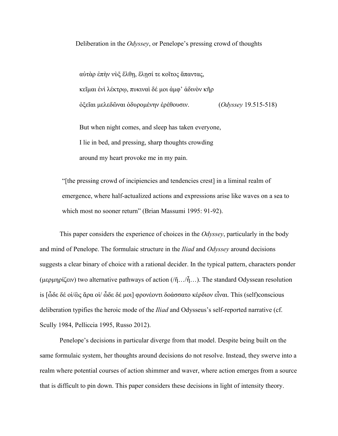Deliberation in the *Odyssey*, or Penelope's pressing crowd of thoughts

αὐτὰρ ἐπὴν νὺξ ἔλθῃ, ἕλῃσί τε κοῖτος ἅπαντας, κεῖμαι ἐνὶ λέκτρῳ, πυκιναὶ δέ μοι ἀμφ' ἁδινὸν κῆρ ὀξεῖαι μελεδῶναι ὀδυρομένην ἐρέθουσιν. (*Odyssey* 19.515-518)

But when night comes, and sleep has taken everyone, I lie in bed, and pressing, sharp thoughts crowding around my heart provoke me in my pain.

"[the pressing crowd of incipiencies and tendencies crest] in a liminal realm of emergence, where half-actualized actions and expressions arise like waves on a sea to which most no sooner return" (Brian Massumi 1995: 91-92).

This paper considers the experience of choices in the *Odyssey*, particularly in the body and mind of Penelope. The formulaic structure in the *Iliad* and *Odyssey* around decisions suggests a clear binary of choice with a rational decider. In the typical pattern, characters ponder (μερμηρίζειν) two alternative pathways of action (/ἤ…/ἦ…). The standard Odyssean resolution is [ὧδε δέ οἱ/ὣς ἄρα οἱ/ ὧδε δέ μοι] φρονέοντι δοάσσατο κέρδιον εἶναι. This (self)conscious deliberation typifies the heroic mode of the *Iliad* and Odysseus's self-reported narrative (cf. Scully 1984, Pelliccia 1995, Russo 2012).

Penelope's decisions in particular diverge from that model. Despite being built on the same formulaic system, her thoughts around decisions do not resolve. Instead, they swerve into a realm where potential courses of action shimmer and waver, where action emerges from a source that is difficult to pin down. This paper considers these decisions in light of intensity theory.